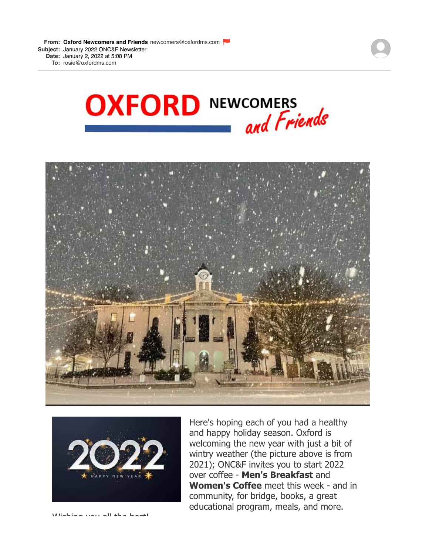





Here's hoping each of you had a healthy and happy holiday season. Oxford is welcoming the new year with just a bit of wintry weather (the picture above is from 2021); ONC&F invites you to start 2022 over coffee - **Men's Breakfast** and **Women's Coffee** meet this week - and in community, for bridge, books, a great educational program, meals, and more.

Wishing you all the best!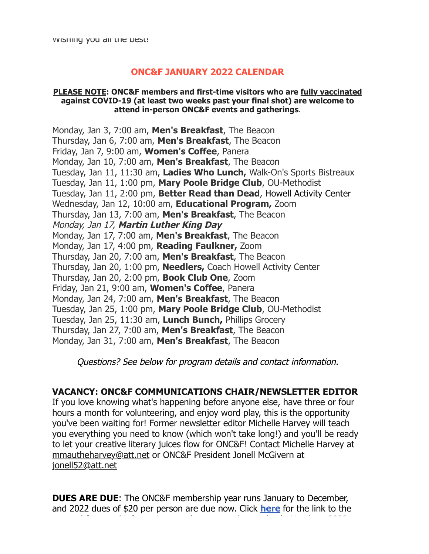# **ONC&F JANUARY 2022 CALENDAR**

#### **PLEASE NOTE: ONC&F members and first-time visitors who are [fully vaccinated](https://r20.rs6.net/tn.jsp?f=0019ijQf8TjVjGSFJ0NkMk777q98r8Eb9CKTnVfyACOS0x6UnOTqQgovU_dMRV83MtvM9XF6QVs3hQsmVtAQoxhn-gXjFvCLyyeMASX9nx6SqY_mkeA8vXt56x-Im_q4ibbSSqdY50Hc40hGxGOGU0ttdS_lz-D1XG0ptPRb4IMNU5rDu2Flog9DDDsnBYo4rlTFBDUyGvk96ezqSUQH-hSOjJJViBmFHR9uFMzNwvnNJ4=&c=iFjXVSTgzANd0bYpLgLQY9BTCp2i7Pwby0miV2uPw0Y4-cN0G1aHpg==&ch=kje5IWyuKbd9_rNBfc3JqS38BkMXwthKyRhOyTNn7lYL0ky1iTD3fQ==) against COVID-19 (at least two weeks past your final shot) are welcome to attend in-person ONC&F events and gatherings**.

Monday, Jan 3, 7:00 am, **Men's Breakfast**, The Beacon Thursday, Jan 6, 7:00 am, **Men's Breakfast**, The Beacon Friday, Jan 7, 9:00 am, **Women's Coffee**, Panera Monday, Jan 10, 7:00 am, **Men's Breakfast**, The Beacon Tuesday, Jan 11, 11:30 am, **Ladies Who Lunch,** Walk-On's Sports Bistreaux Tuesday, Jan 11, 1:00 pm, **Mary Poole Bridge Club**, OU-Methodist Tuesday, Jan 11, 2:00 pm, **Better Read than Dead**, Howell Activity Center Wednesday, Jan 12, 10:00 am, **Educational Program,** Zoom Thursday, Jan 13, 7:00 am, **Men's Breakfast**, The Beacon Monday, Jan 17, **Martin Luther King Day** Monday, Jan 17, 7:00 am, **Men's Breakfast**, The Beacon Monday, Jan 17, 4:00 pm, **Reading Faulkner,** Zoom Thursday, Jan 20, 7:00 am, **Men's Breakfast**, The Beacon Thursday, Jan 20, 1:00 pm, **Needlers,** Coach Howell Activity Center Thursday, Jan 20, 2:00 pm, **Book Club One**, Zoom Friday, Jan 21, 9:00 am, **Women's Coffee**, Panera Monday, Jan 24, 7:00 am, **Men's Breakfast**, The Beacon Tuesday, Jan 25, 1:00 pm, **Mary Poole Bridge Club**, OU-Methodist Tuesday, Jan 25, 11:30 am, **Lunch Bunch,** Phillips Grocery Thursday, Jan 27, 7:00 am, **Men's Breakfast**, The Beacon Monday, Jan 31, 7:00 am, **Men's Breakfast**, The Beacon

Questions? See below for program details and contact information.

# **VACANCY: ONC&F COMMUNICATIONS CHAIR/NEWSLETTER EDITOR**

If you love knowing what's happening before anyone else, have three or four hours a month for volunteering, and enjoy word play, this is the opportunity you've been waiting for! Former newsletter editor Michelle Harvey will teach you everything you need to know (which won't take long!) and you'll be ready to let your creative literary juices flow for ONC&F! Contact Michelle Harvey at [mmautheharvey@att.net](mailto:mmharvey@olemiss.edu) or ONC&F President Jonell McGivern at [jonell52@att.net](mailto:jonell52@att.net)

**DUES ARE DUE**: The ONC&F membership year runs January to December, and 2022 dues of \$20 per person are due now. Click **[here](https://r20.rs6.net/tn.jsp?f=0019ijQf8TjVjGSFJ0NkMk777q98r8Eb9CKTnVfyACOS0x6UnOTqQgovRWykluvEUHYyyApVcNVZnP2kRDHP4PEFVLBOZ5yFV5zQFkLuk1047lOxJIcfeu9ONu4eliRrNh0Qm1LyWMUy4y3cGejIBTIZ4-G0aAXJUAH6DzmxwXHOB4vCktRhHomrXJDEGt7sRb0hnqojxqzPOg8E1DWBkqr8e7F8_F6LTuiwHbUHazpWIM=&c=iFjXVSTgzANd0bYpLgLQY9BTCp2i7Pwby0miV2uPw0Y4-cN0G1aHpg==&ch=kje5IWyuKbd9_rNBfc3JqS38BkMXwthKyRhOyTNn7lYL0ky1iTD3fQ==)** for the link to the renewal form and information on where to send your check. Here's to 2022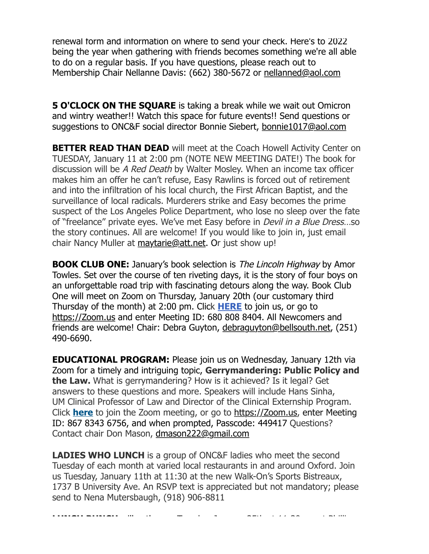renewal form and information on where to send your check. Here's to 2022 being the year when gathering with friends becomes something we're all able to do on a regular basis. If you have questions, please reach out to Membership Chair Nellanne Davis: (662) 380-5672 or [nellanned@aol.com](mailto:nellanned@aol.com)

**5 O'CLOCK ON THE SQUARE** is taking a break while we wait out Omicron and wintry weather!! Watch this space for future events!! Send questions or suggestions to ONC&F social director Bonnie Siebert, [bonnie1017@aol.com](mailto:bonnie1017@aol.com)

**BETTER READ THAN DEAD** will meet at the Coach Howell Activity Center on TUESDAY, January 11 at 2:00 pm (NOTE NEW MEETING DATE!) The book for discussion will be A Red Death by Walter Mosley. When an income tax officer makes him an offer he can't refuse, Easy Rawlins is forced out of retirement and into the infiltration of his local church, the First African Baptist, and the surveillance of local radicals. Murderers strike and Easy becomes the prime suspect of the Los Angeles Police Department, who lose no sleep over the fate of "freelance" private eyes. We've met Easy before in Devil in a Blue Dress…so the story continues. All are welcome! If you would like to join in, just email chair Nancy Muller at [maytarie@att.net.](mailto:maytarie@att.net) Or just show up!

**BOOK CLUB ONE:** January's book selection is *The Lincoln Highway* by Amor Towles. Set over the course of ten riveting days, it is the story of four boys on an unforgettable road trip with fascinating detours along the way. Book Club One will meet on Zoom on Thursday, January 20th (our customary third Thursday of the month) at 2:00 pm. Click **[HERE](https://r20.rs6.net/tn.jsp?f=0019ijQf8TjVjGSFJ0NkMk777q98r8Eb9CKTnVfyACOS0x6UnOTqQgovYw8JwSjl_A_SB_-AypDsc4_xjsKmGoLJNELaXOWkWXc7BcZyxUqd3mOz0aSb9mG1Mf1KVPEJjHS9fd-crdou36qN8eg0vWeKgsk5S-mbN-h&c=iFjXVSTgzANd0bYpLgLQY9BTCp2i7Pwby0miV2uPw0Y4-cN0G1aHpg==&ch=kje5IWyuKbd9_rNBfc3JqS38BkMXwthKyRhOyTNn7lYL0ky1iTD3fQ==)** to join us, or go to [https://Zoom.us](https://r20.rs6.net/tn.jsp?f=001JF9TOYYxMKZ0Q76heqzdyIJQ02ARzHOgOKD-54bv3bDySO2K0KMb4FTH2EO5Aw5UCDlxUU72S58eB3WuPVh5nkh3CYbKO8_3yJuTCskCMC3I2Pupd0JQnY7ZXo-X5kKppo9fX8CfMgg=&c=OKQVG6BzjZml6Rx2fr8joIEGeL8k021JNu4BzLAspfH5paNINmlkyw==&ch=loWDd_1yIGlia3KJjutjKvthE_dCJ-zoaRm0dn_Xx-XNtERKqtz7EQ==) and enter Meeting ID: 680 808 8404. All Newcomers and friends are welcome! Chair: Debra Guyton, [debraguyton@bellsouth.net,](mailto:debraguyton@bellsouth.net) (251) 490-6690.

**EDUCATIONAL PROGRAM:** Please join us on Wednesday, January 12th via Zoom for a timely and intriguing topic, **Gerrymandering: Public Policy and the Law.** What is gerrymandering? How is it achieved? Is it legal? Get answers to these questions and more. Speakers will include Hans Sinha, UM Clinical Professor of Law and Director of the Clinical Externship Program. Click **[here](https://r20.rs6.net/tn.jsp?f=0019ijQf8TjVjGSFJ0NkMk777q98r8Eb9CKTnVfyACOS0x6UnOTqQgovf4tLLrCnYYjOG8jci6ziFVFQbL6NuR2qsF3oTAgJmgmhCx1xCtMG7rin0g49CnBDsnHEQV7BpeR4VZK_8U1m5Dkn51jK7uEE1wpQRyMWXWkZMYrdwv3aRMEefR6m28tCti7T1A61-TTW-d8w529n4mJxz09SgshVNbyYlySek_e&c=iFjXVSTgzANd0bYpLgLQY9BTCp2i7Pwby0miV2uPw0Y4-cN0G1aHpg==&ch=kje5IWyuKbd9_rNBfc3JqS38BkMXwthKyRhOyTNn7lYL0ky1iTD3fQ==)** [t](https://r20.rs6.net/tn.jsp?f=0019ijQf8TjVjGSFJ0NkMk777q98r8Eb9CKTnVfyACOS0x6UnOTqQgovf4tLLrCnYYjOG8jci6ziFVFQbL6NuR2qsF3oTAgJmgmhCx1xCtMG7rin0g49CnBDsnHEQV7BpeR4VZK_8U1m5Dkn51jK7uEE1wpQRyMWXWkZMYrdwv3aRMEefR6m28tCti7T1A61-TTW-d8w529n4mJxz09SgshVNbyYlySek_e&c=iFjXVSTgzANd0bYpLgLQY9BTCp2i7Pwby0miV2uPw0Y4-cN0G1aHpg==&ch=kje5IWyuKbd9_rNBfc3JqS38BkMXwthKyRhOyTNn7lYL0ky1iTD3fQ==)o join the Zoom meeting, or go to [https://Zoom.us](https://r20.rs6.net/tn.jsp?f=001JF9TOYYxMKZ0Q76heqzdyIJQ02ARzHOgOKD-54bv3bDySO2K0KMb4FTH2EO5Aw5UCDlxUU72S58eB3WuPVh5nkh3CYbKO8_3yJuTCskCMC3I2Pupd0JQnY7ZXo-X5kKppo9fX8CfMgg=&c=OKQVG6BzjZml6Rx2fr8joIEGeL8k021JNu4BzLAspfH5paNINmlkyw==&ch=loWDd_1yIGlia3KJjutjKvthE_dCJ-zoaRm0dn_Xx-XNtERKqtz7EQ==), enter Meeting ID: 867 8343 6756, and when prompted, Passcode: 449417 Questions? Contact chair Don Mason, [dmason222@gmail.com](mailto:dmason222@gmail.com)

**LADIES WHO LUNCH** is a group of ONC&F ladies who meet the second Tuesday of each month at varied local restaurants in and around Oxford. Join us Tuesday, January 11th at 11:30 at the new Walk-On's Sports Bistreaux, 1737 B University Ave. An RSVP text is appreciated but not mandatory; please send to Nena Mutersbaugh, (918) 906-8811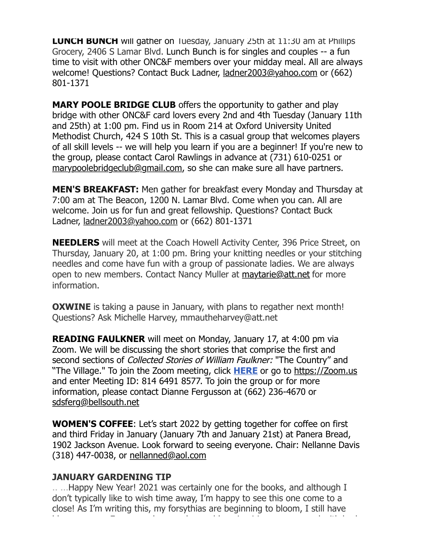**LUNCH BUNCH** will gather on Tuesday, January 25th at 11:30 am at Phillips Grocery, 2406 S Lamar Blvd. Lunch Bunch is for singles and couples -- a fun time to visit with other ONC&F members over your midday meal. All are always welcome! Questions? Contact Buck Ladner, [ladner2003@yahoo.com](mailto:ladner2003@yahoo.com) or (662) 801-1371

**MARY POOLE BRIDGE CLUB** offers the opportunity to gather and play bridge with other ONC&F card lovers every 2nd and 4th Tuesday (January 11th and 25th) at 1:00 pm. Find us in Room 214 at Oxford University United Methodist Church, 424 S 10th St. This is a casual group that welcomes players of all skill levels -- we will help you learn if you are a beginner! If you're new to the group, please contact Carol Rawlings in advance at (731) 610-0251 or [marypoolebridgeclub@gmail.com,](mailto:marypoolebridgeclub@gmail.com) so she can make sure all have partners.

**MEN'S BREAKFAST:** Men gather for breakfast every Monday and Thursday at 7:00 am at The Beacon, 1200 N. Lamar Blvd. Come when you can. All are welcome. Join us for fun and great fellowship. Questions? Contact Buck Ladner, [ladner2003@yahoo.com](mailto:ladner2003@yahoo.com) or (662) 801-1371

**NEEDLERS** will meet at the Coach Howell Activity Center, 396 Price Street, on Thursday, January 20, at 1:00 pm. Bring your knitting needles or your stitching needles and come have fun with a group of passionate ladies. We are always open to new members. Contact Nancy Muller at [maytarie@att.net](mailto:maytarie@att.net) for more information.

**OXWINE** is taking a pause in January, with plans to regather next month! Questions? Ask Michelle Harvey, mmautheharvey@att.net

**READING FAULKNER** will meet on Monday, January 17, at 4:00 pm via Zoom. We will be discussing the short stories that comprise the first and second sections of *Collected Stories of William Faulkner:* "The Country" and "The Village." To join the Zoom meeting, click **[HERE](https://r20.rs6.net/tn.jsp?f=0019ijQf8TjVjGSFJ0NkMk777q98r8Eb9CKTnVfyACOS0x6UnOTqQgovf4tLLrCnYYjY0bxjRgcRCZOiqAfld-Vzj76r59M6hczda0HtgpJoD4oFceCsbr6PRnD78HkygSSnZgaAx74yJ3do4E3azNCKrtjOdcQGlcNR4123Bcv8k8=&c=iFjXVSTgzANd0bYpLgLQY9BTCp2i7Pwby0miV2uPw0Y4-cN0G1aHpg==&ch=kje5IWyuKbd9_rNBfc3JqS38BkMXwthKyRhOyTNn7lYL0ky1iTD3fQ==)** or go to [https://Zoom.us](https://r20.rs6.net/tn.jsp?f=001JF9TOYYxMKZ0Q76heqzdyIJQ02ARzHOgOKD-54bv3bDySO2K0KMb4FTH2EO5Aw5UCDlxUU72S58eB3WuPVh5nkh3CYbKO8_3yJuTCskCMC3I2Pupd0JQnY7ZXo-X5kKppo9fX8CfMgg=&c=OKQVG6BzjZml6Rx2fr8joIEGeL8k021JNu4BzLAspfH5paNINmlkyw==&ch=loWDd_1yIGlia3KJjutjKvthE_dCJ-zoaRm0dn_Xx-XNtERKqtz7EQ==) and enter Meeting ID: 814 6491 8577. To join the group or for more information, please contact Dianne Fergusson at (662) 236-4670 or [sdsferg@bellsouth.net](mailto:sdsferg@bellsouth.net.)

**WOMEN'S COFFEE**: Let's start 2022 by getting together for coffee on first and third Friday in January (January 7th and January 21st) at Panera Bread, 1902 Jackson Avenue. Look forward to seeing everyone. Chair: Nellanne Davis (318) 447-0038, or [nellanned@aol.com](mailto:nellanned@aol.com)

# **JANUARY GARDENING TIP**

.. ...Happy New Year! 2021 was certainly one for the books, and although I don't typically like to wish time away, I'm happy to see this one come to a close! As I'm writing this, my forsythias are beginning to bloom, I still have blooms on my Encore azaleas, and my reblooming irises are covered with buds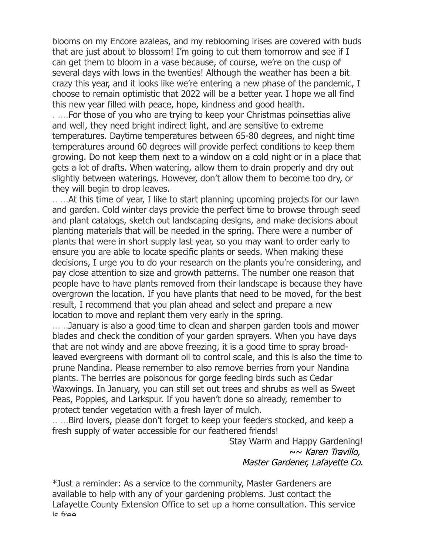blooms on my Encore azaleas, and my reblooming irises are covered with buds that are just about to blossom! I'm going to cut them tomorrow and see if I can get them to bloom in a vase because, of course, we're on the cusp of several days with lows in the twenties! Although the weather has been a bit crazy this year, and it looks like we're entering a new phase of the pandemic, I choose to remain optimistic that 2022 will be a better year. I hope we all find this new year filled with peace, hope, kindness and good health.

. ....For those of you who are trying to keep your Christmas poinsettias alive and well, they need bright indirect light, and are sensitive to extreme temperatures. Daytime temperatures between 65-80 degrees, and night time temperatures around 60 degrees will provide perfect conditions to keep them growing. Do not keep them next to a window on a cold night or in a place that gets a lot of drafts. When watering, allow them to drain properly and dry out slightly between waterings. However, don't allow them to become too dry, or they will begin to drop leaves.

.. ...At this time of year, I like to start planning upcoming projects for our lawn and garden. Cold winter days provide the perfect time to browse through seed and plant catalogs, sketch out landscaping designs, and make decisions about planting materials that will be needed in the spring. There were a number of plants that were in short supply last year, so you may want to order early to ensure you are able to locate specific plants or seeds. When making these decisions, I urge you to do your research on the plants you're considering, and pay close attention to size and growth patterns. The number one reason that people have to have plants removed from their landscape is because they have overgrown the location. If you have plants that need to be moved, for the best result, I recommend that you plan ahead and select and prepare a new location to move and replant them very early in the spring.

... ..January is also a good time to clean and sharpen garden tools and mower blades and check the condition of your garden sprayers. When you have days that are not windy and are above freezing, it is a good time to spray broadleaved evergreens with dormant oil to control scale, and this is also the time to prune Nandina. Please remember to also remove berries from your Nandina plants. The berries are poisonous for gorge feeding birds such as Cedar Waxwings. In January, you can still set out trees and shrubs as well as Sweet Peas, Poppies, and Larkspur. If you haven't done so already, remember to protect tender vegetation with a fresh layer of mulch.

.. ...Bird lovers, please don't forget to keep your feeders stocked, and keep a fresh supply of water accessible for our feathered friends!

> Stay Warm and Happy Gardening! ~~ Karen Travillo, Master Gardener, Lafayette Co.

\*Just a reminder: As a service to the community, Master Gardeners are available to help with any of your gardening problems. Just contact the Lafayette County Extension Office to set up a home consultation. This service is free.